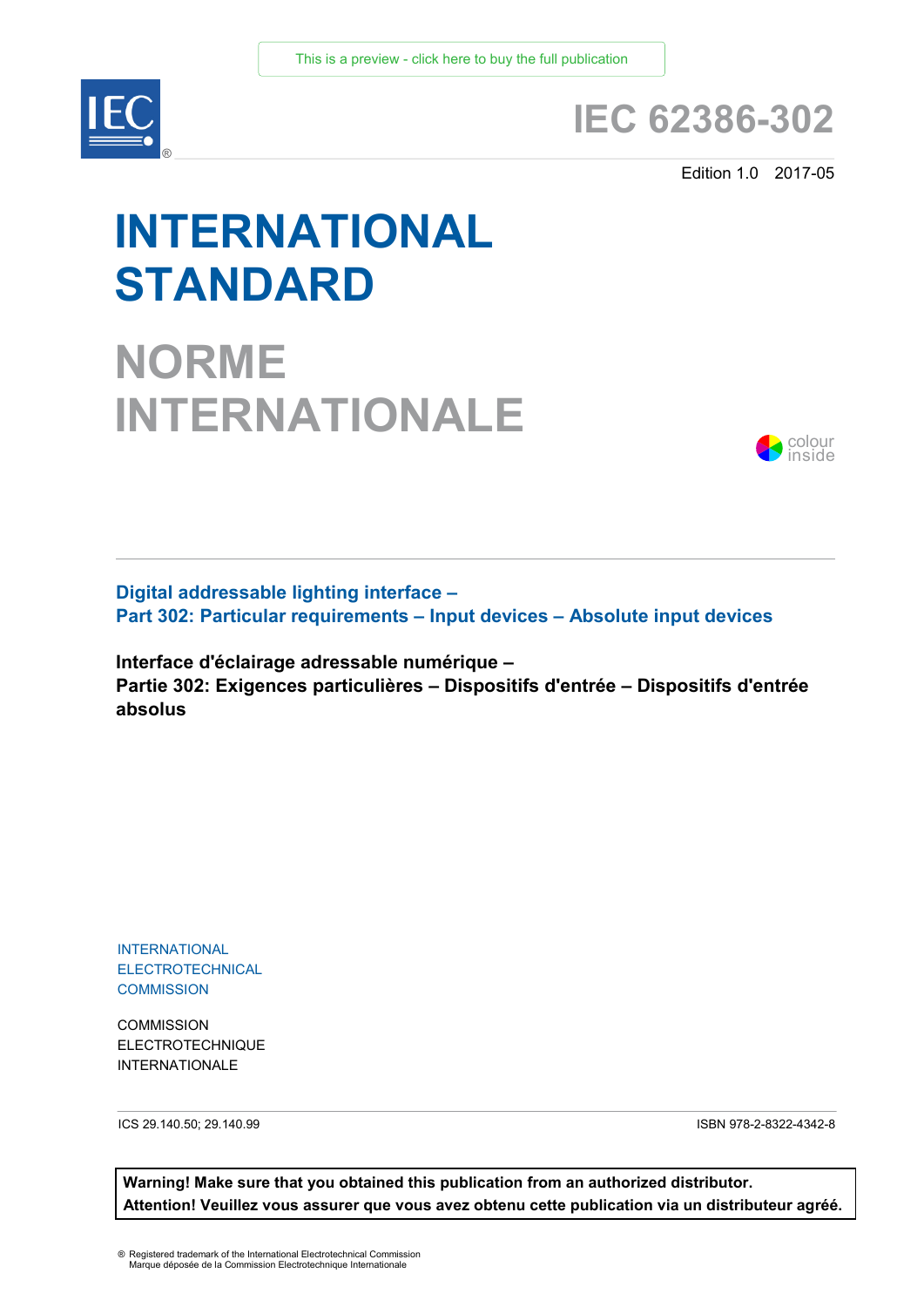

# **IEC 62386-302**

Edition 1.0 2017-05

# **INTERNATIONAL STANDARD**

**NORME INTERNATIONALE**



**Digital addressable lighting interface – Part 302: Particular requirements – Input devices – Absolute input devices**

**Interface d'éclairage adressable numérique – Partie 302: Exigences particulières – Dispositifs d'entrée – Dispositifs d'entrée absolus**

INTERNATIONAL **ELECTROTECHNICAL COMMISSION** 

**COMMISSION** ELECTROTECHNIQUE INTERNATIONALE

ICS 29.140.50; 29.140.99 ISBN 978-2-8322-4342-8

**Warning! Make sure that you obtained this publication from an authorized distributor. Attention! Veuillez vous assurer que vous avez obtenu cette publication via un distributeur agréé.**

® Registered trademark of the International Electrotechnical Commission Marque déposée de la Commission Electrotechnique Internationale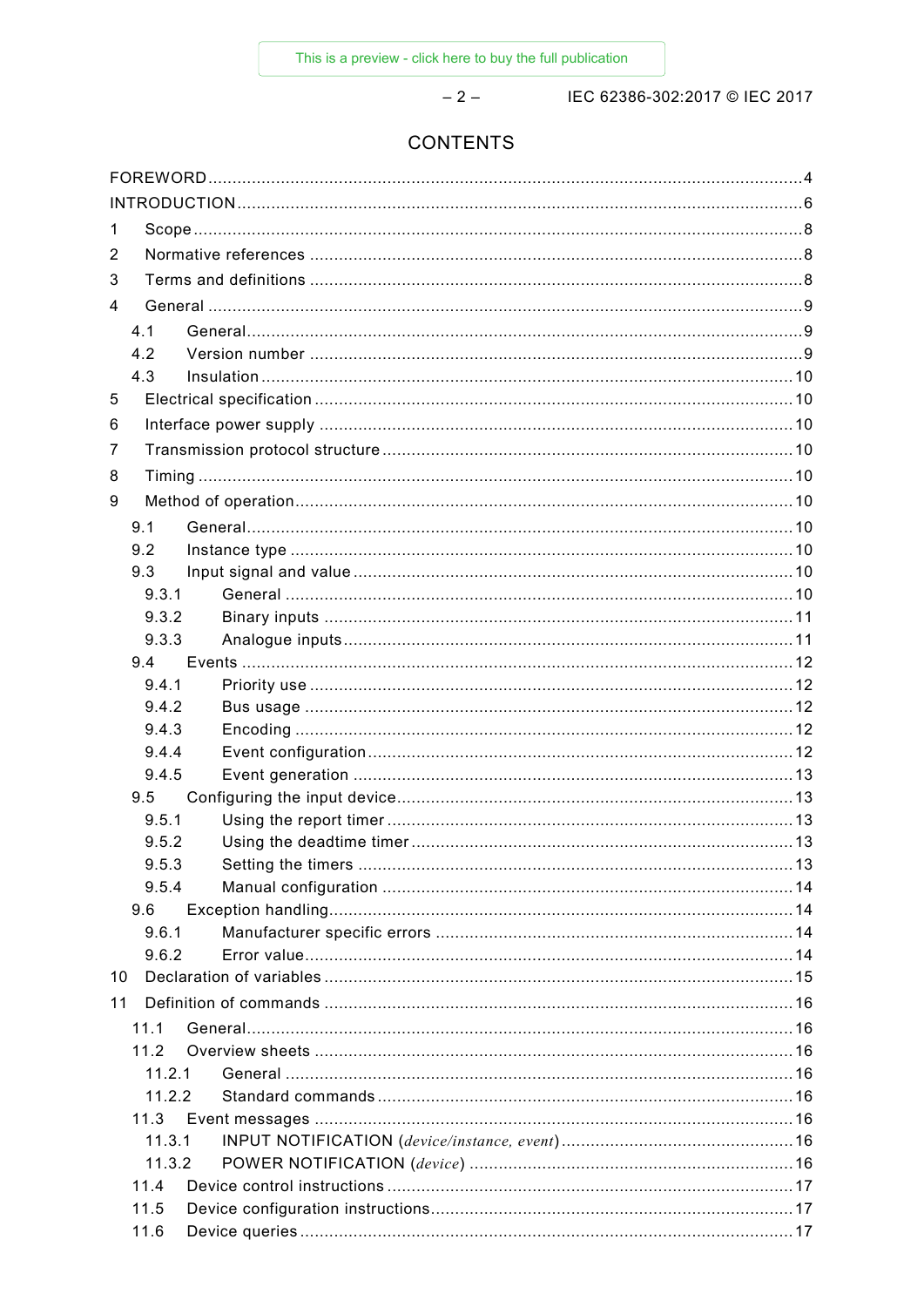$-2-$ 

IEC 62386-302:2017 © IEC 2017

# **CONTENTS**

| 1              |  |
|----------------|--|
| 2              |  |
| 3              |  |
| 4              |  |
| 4.1            |  |
| 4.2            |  |
| 4.3            |  |
| 5              |  |
| 6              |  |
| 7              |  |
| 8              |  |
|                |  |
| 9              |  |
| 9.1            |  |
| 9.2            |  |
| 9.3            |  |
| 9.3.1<br>9.3.2 |  |
| 9.3.3          |  |
| 9.4            |  |
| 9.4.1          |  |
| 9.4.2          |  |
| 9.4.3          |  |
| 9.4.4          |  |
| 9.4.5          |  |
| 9.5            |  |
| 9.5.1          |  |
| 9.5.2          |  |
| 9.5.3          |  |
| 9.5.4          |  |
| 9.6            |  |
| 9.6.1          |  |
| 9.6.2          |  |
| 10             |  |
| 11             |  |
| 111            |  |
| 11.2           |  |
| 11.2.1         |  |
| 11.2.2         |  |
| 11.3           |  |
| 11.3.1         |  |
| 11.3.2         |  |
| 11.4           |  |
| 11.5           |  |
| 11.6           |  |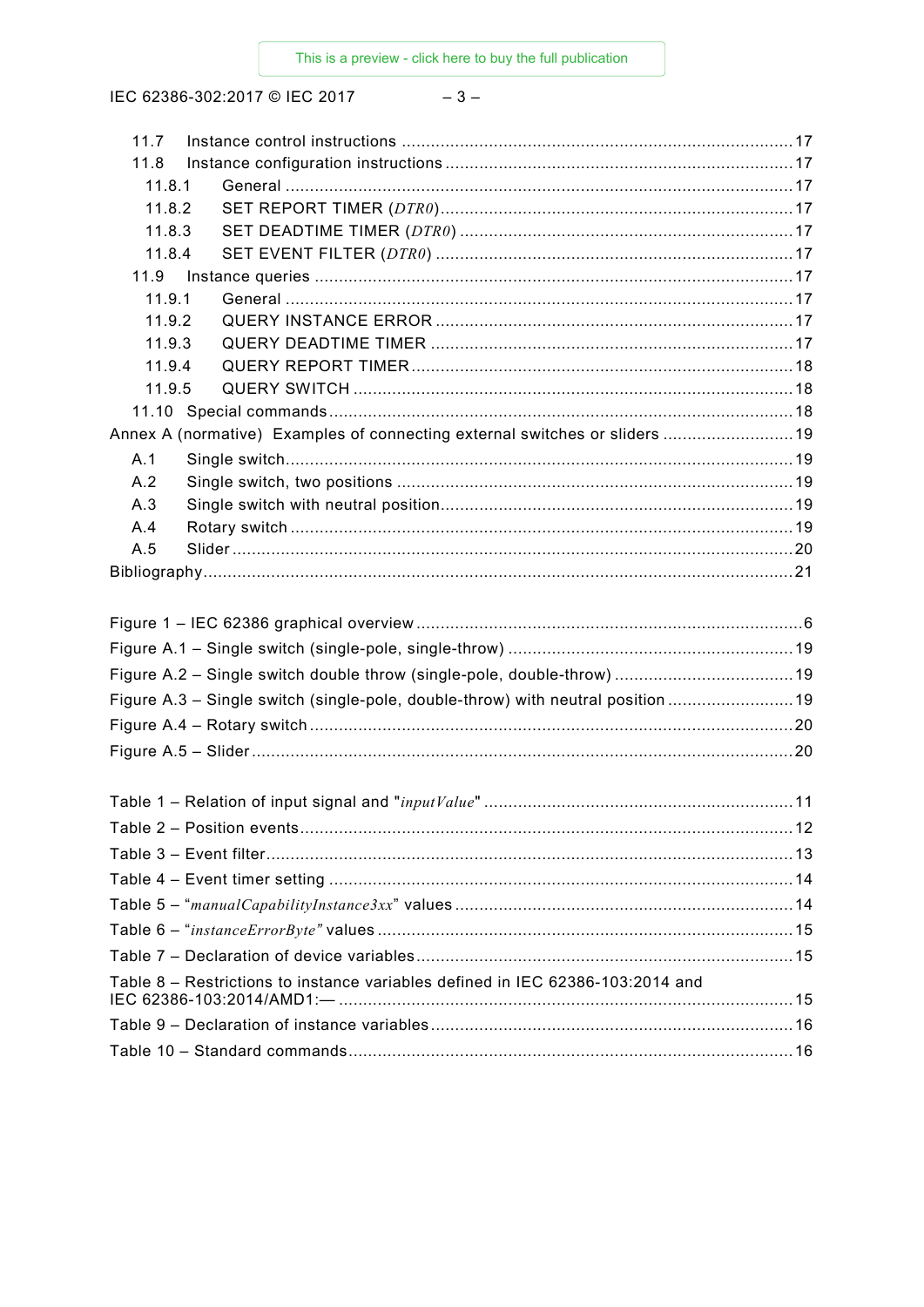IEC 62386-302:2017 © IEC 2017

# $-3-$

| 11.7<br>11.8                                                                     |  |
|----------------------------------------------------------------------------------|--|
|                                                                                  |  |
|                                                                                  |  |
| 11.8.1                                                                           |  |
| 11.8.2                                                                           |  |
| 11.8.3                                                                           |  |
| 11.8.4                                                                           |  |
| 11.9                                                                             |  |
| 11.9.1                                                                           |  |
| 11.9.2                                                                           |  |
| 11.9.3                                                                           |  |
| 11.9.4                                                                           |  |
| 11.9.5                                                                           |  |
|                                                                                  |  |
| Annex A (normative) Examples of connecting external switches or sliders  19      |  |
| A.1                                                                              |  |
| A.2                                                                              |  |
| A.3                                                                              |  |
| A.4                                                                              |  |
| A.5                                                                              |  |
|                                                                                  |  |
|                                                                                  |  |
|                                                                                  |  |
|                                                                                  |  |
|                                                                                  |  |
|                                                                                  |  |
| Figure A.3 - Single switch (single-pole, double-throw) with neutral position  19 |  |
|                                                                                  |  |
|                                                                                  |  |
|                                                                                  |  |
|                                                                                  |  |
|                                                                                  |  |
|                                                                                  |  |
|                                                                                  |  |
|                                                                                  |  |
|                                                                                  |  |
|                                                                                  |  |
|                                                                                  |  |
| Table 8 - Restrictions to instance variables defined in IEC 62386-103:2014 and   |  |
|                                                                                  |  |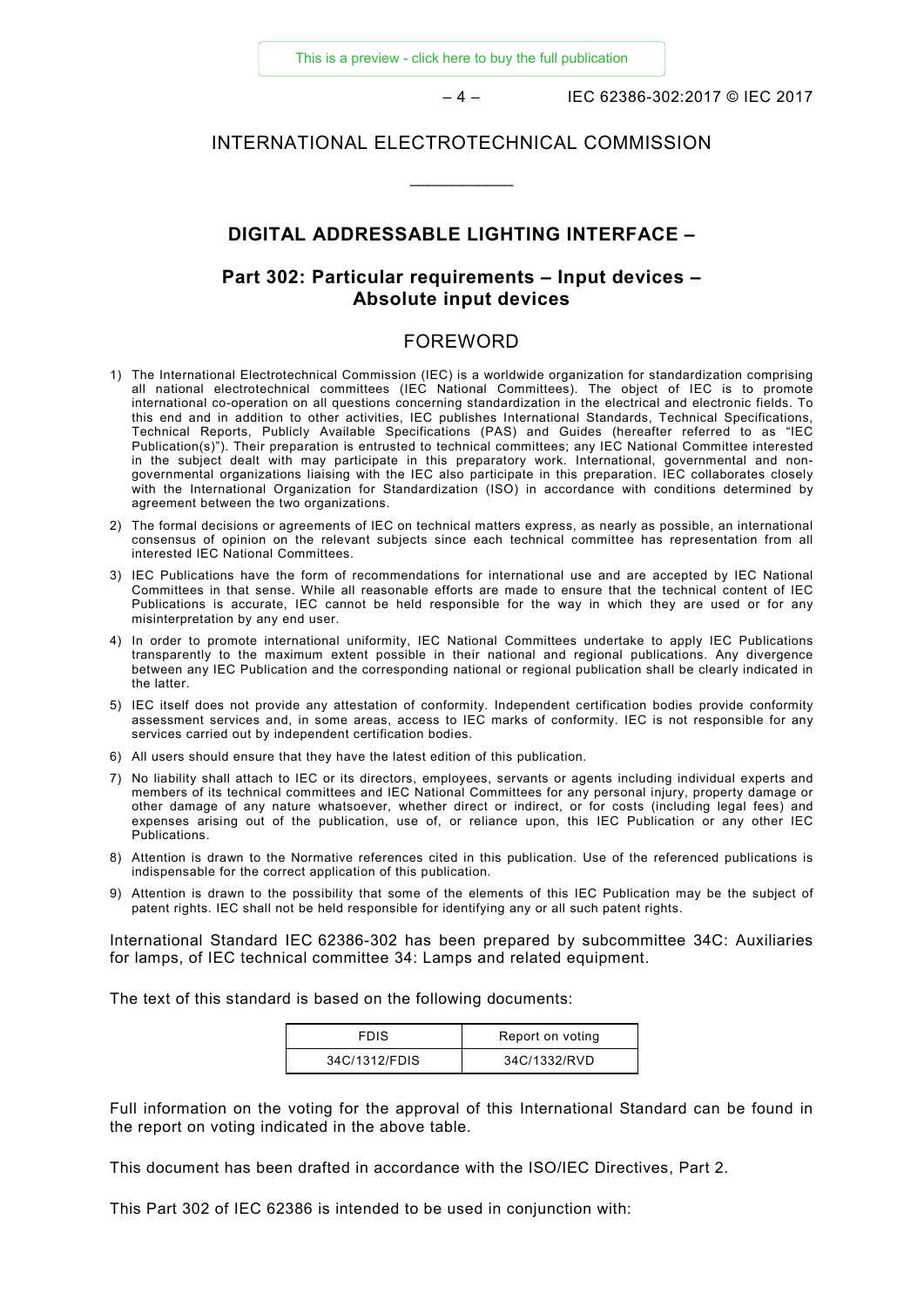[This is a preview - click here to buy the full publication](https://webstore.iec.ch/publication/26639&preview=1)

– 4 – IEC 62386-302:2017 © IEC 2017

#### INTERNATIONAL ELECTROTECHNICAL COMMISSION

\_\_\_\_\_\_\_\_\_\_\_\_

### **DIGITAL ADDRESSABLE LIGHTING INTERFACE –**

#### **Part 302: Particular requirements – Input devices – Absolute input devices**

#### FOREWORD

- <span id="page-3-0"></span>1) The International Electrotechnical Commission (IEC) is a worldwide organization for standardization comprising all national electrotechnical committees (IEC National Committees). The object of IEC is to promote international co-operation on all questions concerning standardization in the electrical and electronic fields. To this end and in addition to other activities, IEC publishes International Standards, Technical Specifications, Technical Reports, Publicly Available Specifications (PAS) and Guides (hereafter referred to as "IEC Publication(s)"). Their preparation is entrusted to technical committees; any IEC National Committee interested in the subject dealt with may participate in this preparatory work. International, governmental and nongovernmental organizations liaising with the IEC also participate in this preparation. IEC collaborates closely with the International Organization for Standardization (ISO) in accordance with conditions determined by agreement between the two organizations.
- 2) The formal decisions or agreements of IEC on technical matters express, as nearly as possible, an international consensus of opinion on the relevant subjects since each technical committee has representation from all interested IEC National Committees.
- 3) IEC Publications have the form of recommendations for international use and are accepted by IEC National Committees in that sense. While all reasonable efforts are made to ensure that the technical content of IEC Publications is accurate, IEC cannot be held responsible for the way in which they are used or for any misinterpretation by any end user.
- 4) In order to promote international uniformity, IEC National Committees undertake to apply IEC Publications transparently to the maximum extent possible in their national and regional publications. Any divergence between any IEC Publication and the corresponding national or regional publication shall be clearly indicated in the latter.
- 5) IEC itself does not provide any attestation of conformity. Independent certification bodies provide conformity assessment services and, in some areas, access to IEC marks of conformity. IEC is not responsible for any services carried out by independent certification bodies.
- 6) All users should ensure that they have the latest edition of this publication.
- 7) No liability shall attach to IEC or its directors, employees, servants or agents including individual experts and members of its technical committees and IEC National Committees for any personal injury, property damage or other damage of any nature whatsoever, whether direct or indirect, or for costs (including legal fees) and expenses arising out of the publication, use of, or reliance upon, this IEC Publication or any other IEC Publications.
- 8) Attention is drawn to the Normative references cited in this publication. Use of the referenced publications is indispensable for the correct application of this publication.
- 9) Attention is drawn to the possibility that some of the elements of this IEC Publication may be the subject of patent rights. IEC shall not be held responsible for identifying any or all such patent rights.

International Standard IEC 62386-302 has been prepared by subcommittee 34C: Auxiliaries for lamps, of IEC technical committee 34: Lamps and related equipment.

The text of this standard is based on the following documents:

| <b>FDIS</b>   | Report on voting |
|---------------|------------------|
| 34C/1312/FDIS | 34C/1332/RVD     |

Full information on the voting for the approval of this International Standard can be found in the report on voting indicated in the above table.

This document has been drafted in accordance with the ISO/IEC Directives, Part 2.

This Part 302 of IEC 62386 is intended to be used in conjunction with: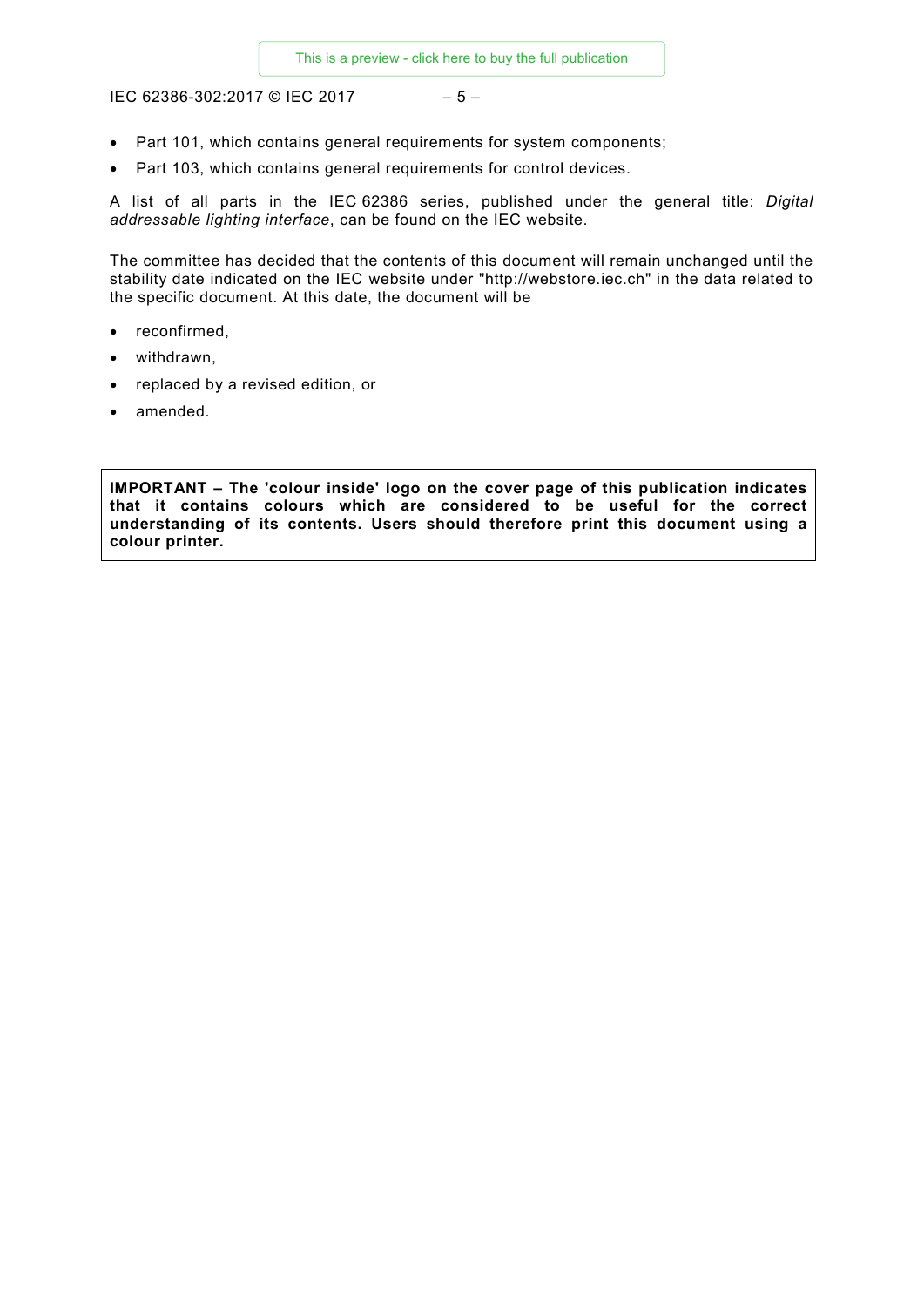IEC 62386-302:2017 © IEC 2017 – 5 –

- Part 101, which contains general requirements for system components;
- Part 103, which contains general requirements for control devices.

A list of all parts in the IEC 62386 series, published under the general title: *Digital addressable lighting interface*, can be found on the IEC website.

The committee has decided that the contents of this document will remain unchanged until the stability date indicated on the IEC website under "http://webstore.iec.ch" in the data related to the specific document. At this date, the document will be

- reconfirmed,
- withdrawn,
- replaced by a revised edition, or
- amended.

**IMPORTANT – The 'colour inside' logo on the cover page of this publication indicates that it contains colours which are considered to be useful for the correct understanding of its contents. Users should therefore print this document using a colour printer.**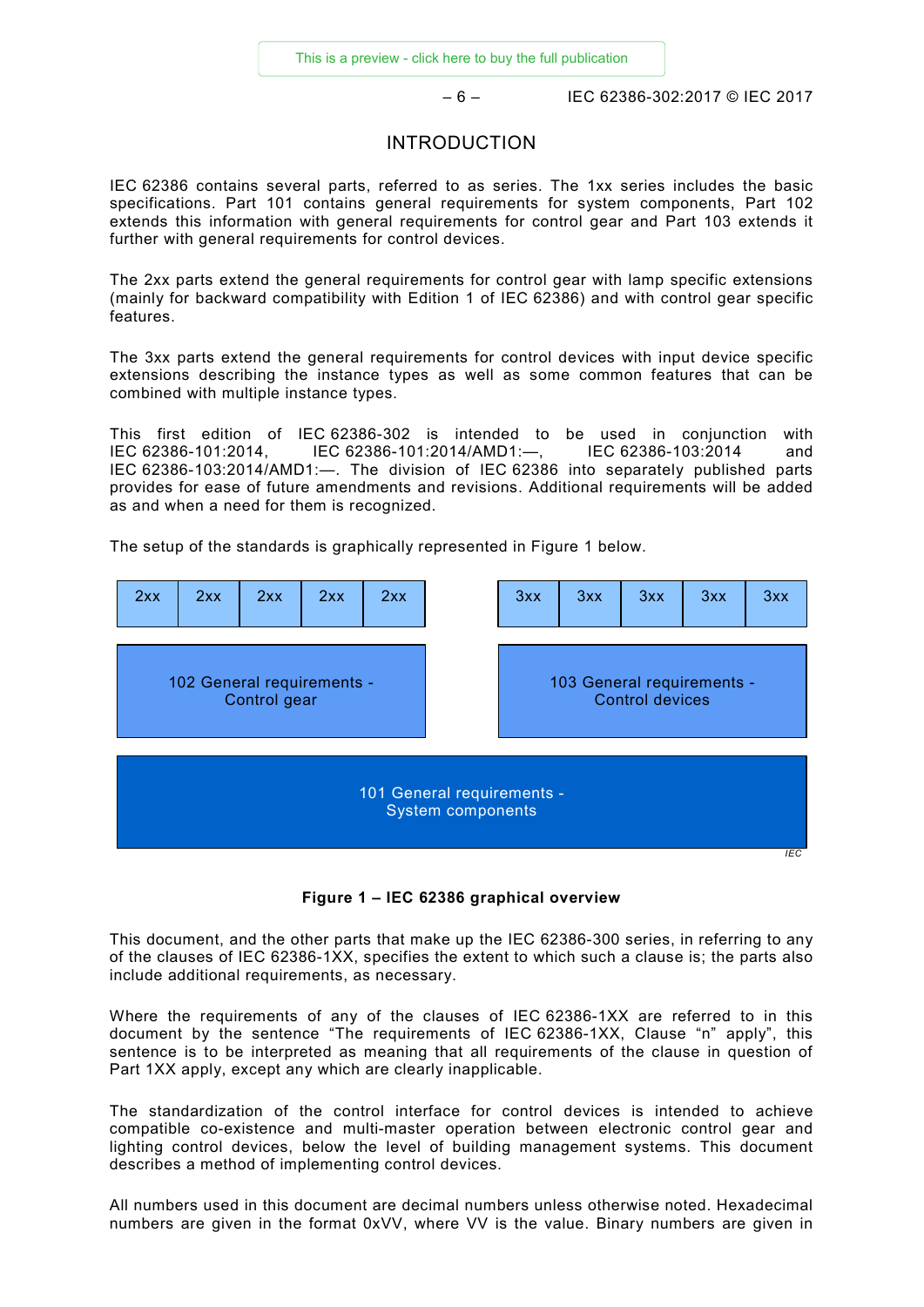– 6 – IEC 62386-302:2017 © IEC 2017

#### INTRODUCTION

<span id="page-5-0"></span>IEC 62386 contains several parts, referred to as series. The 1xx series includes the basic specifications. Part 101 contains general requirements for system components, Part 102 extends this information with general requirements for control gear and Part 103 extends it further with general requirements for control devices.

The 2xx parts extend the general requirements for control gear with lamp specific extensions (mainly for backward compatibility with Edition 1 of IEC 62386) and with control gear specific features.

The 3xx parts extend the general requirements for control devices with input device specific extensions describing the instance types as well as some common features that can be combined with multiple instance types.

This first edition of IEC 62386-302 is intended to be used in conjunction with IEC 62386-101:2014/AMD1:-, IEC 62386-103:2014 and IEC 62386-103:2014/AMD1:—. The division of IEC 62386 into separately published parts provides for ease of future amendments and revisions. Additional requirements will be added as and when a need for them is recognized.

The setup of the standards is graphically represented in [Figure 1](#page-5-1) below.



**Figure 1 – IEC 62386 graphical overview**

<span id="page-5-1"></span>This document, and the other parts that make up the IEC 62386-300 series, in referring to any of the clauses of IEC 62386-1XX, specifies the extent to which such a clause is; the parts also include additional requirements, as necessary.

Where the requirements of any of the clauses of IEC 62386-1XX are referred to in this document by the sentence "The requirements of IEC 62386-1XX, Clause "n" apply", this sentence is to be interpreted as meaning that all requirements of the clause in question of Part 1XX apply, except any which are clearly inapplicable.

The standardization of the control interface for control devices is intended to achieve compatible co-existence and multi-master operation between electronic control gear and lighting control devices, below the level of building management systems. This document describes a method of implementing control devices.

All numbers used in this document are decimal numbers unless otherwise noted. Hexadecimal numbers are given in the format 0xVV, where VV is the value. Binary numbers are given in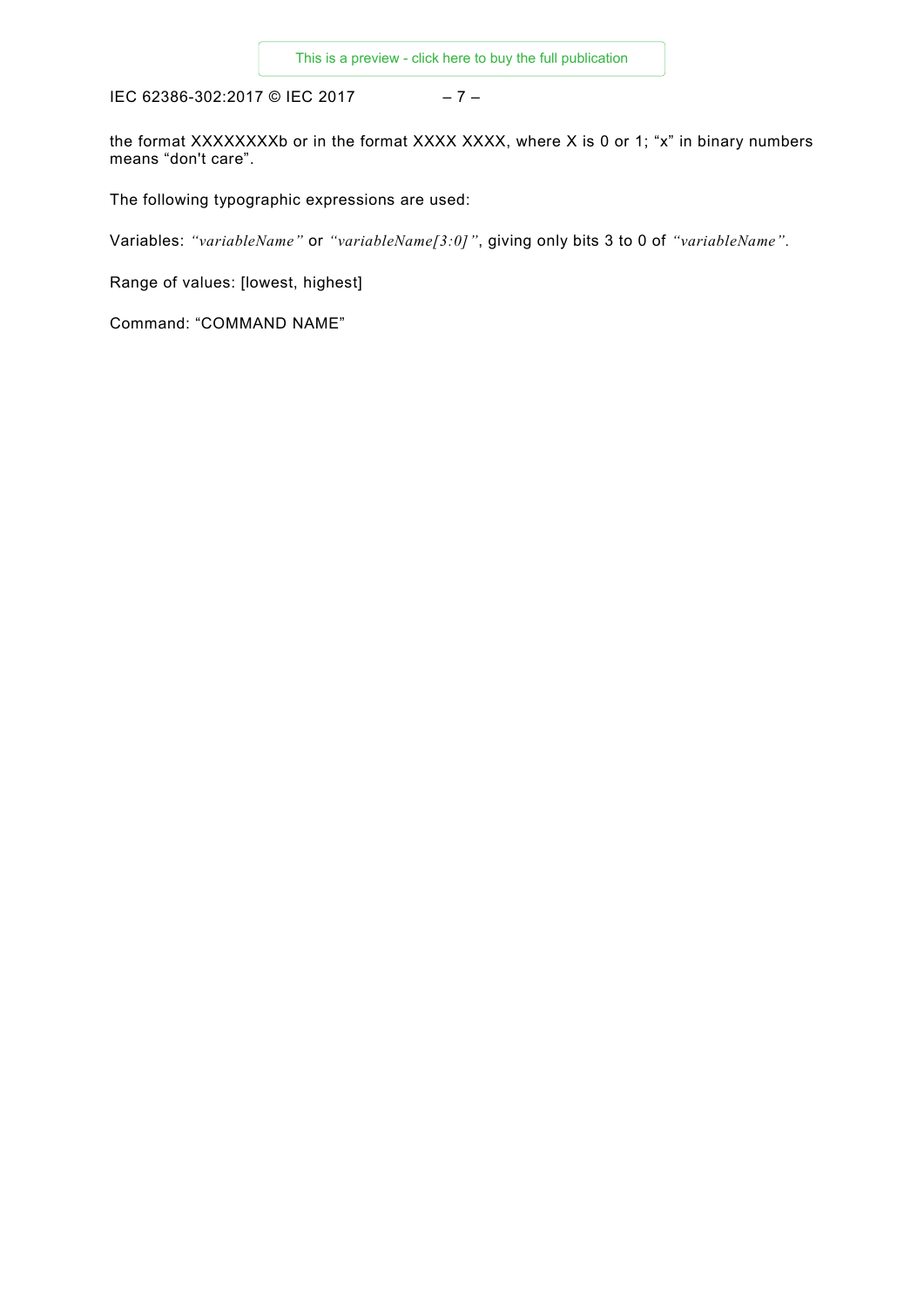IEC 62386-302:2017 © IEC 2017 – 7 –

the format XXXXXXXXb or in the format XXXX XXXX, where X is 0 or 1; "x" in binary numbers means "don't care".

The following typographic expressions are used:

Variables: *"variableName"* or *"variableName[3:0]"*, giving only bits 3 to 0 of *"variableName"*.

Range of values: [lowest, highest]

Command: "COMMAND NAME"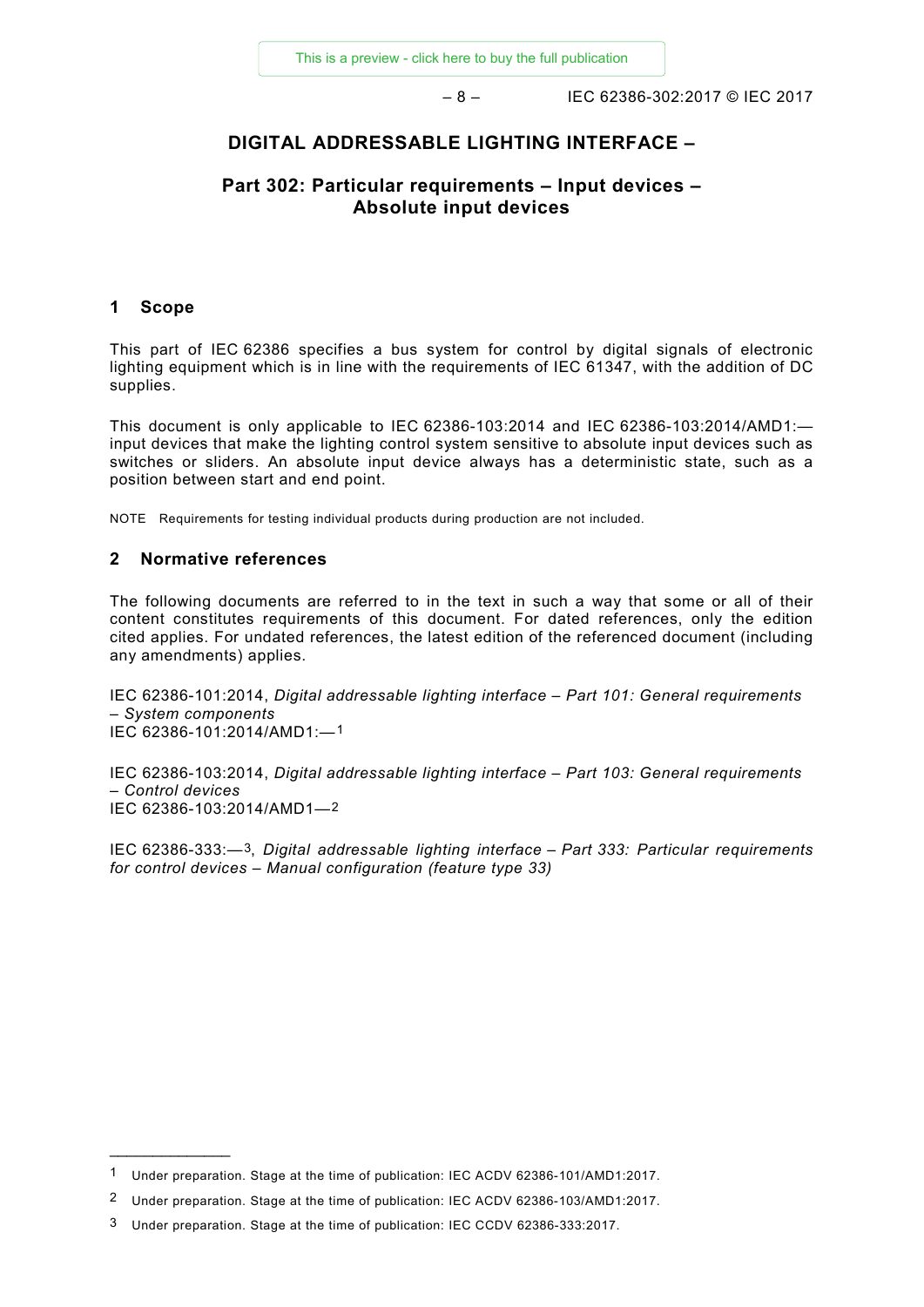– 8 – IEC 62386-302:2017 © IEC 2017

#### **DIGITAL ADDRESSABLE LIGHTING INTERFACE –**

#### **Part 302: Particular requirements – Input devices – Absolute input devices**

#### <span id="page-7-0"></span>**1 Scope**

This part of IEC 62386 specifies a bus system for control by digital signals of electronic lighting equipment which is in line with the requirements of IEC 61347, with the addition of DC supplies.

This document is only applicable to IEC 62386-103:2014 and IEC 62386-103:2014/AMD1: input devices that make the lighting control system sensitive to absolute input devices such as switches or sliders. An absolute input device always has a deterministic state, such as a position between start and end point.

NOTE Requirements for testing individual products during production are not included.

#### <span id="page-7-1"></span>**2 Normative references**

\_\_\_\_\_\_\_\_\_\_\_\_\_\_

The following documents are referred to in the text in such a way that some or all of their content constitutes requirements of this document. For dated references, only the edition cited applies. For undated references, the latest edition of the referenced document (including any amendments) applies.

IEC 62386-101:2014, *Digital addressable lighting interface – Part 101: General requirements – System components* IEC 62386-101:2014/AMD1:—[1](#page-7-3)

IEC 62386-103:2014, *Digital addressable lighting interface – Part 103: General requirements – Control devices* IEC 62386-103:2014/AMD1—[2](#page-7-4)

<span id="page-7-2"></span>IEC 62386-333:—[3,](#page-7-5) *Digital addressable lighting interface – Part 333: Particular requirements for control devices – Manual configuration (feature type 33)*

<span id="page-7-3"></span><sup>1</sup> Under preparation. Stage at the time of publication: IEC ACDV 62386-101/AMD1:2017.

<span id="page-7-4"></span><sup>2</sup> Under preparation. Stage at the time of publication: IEC ACDV 62386-103/AMD1:2017.

<span id="page-7-5"></span><sup>3</sup> Under preparation. Stage at the time of publication: IEC CCDV 62386-333:2017.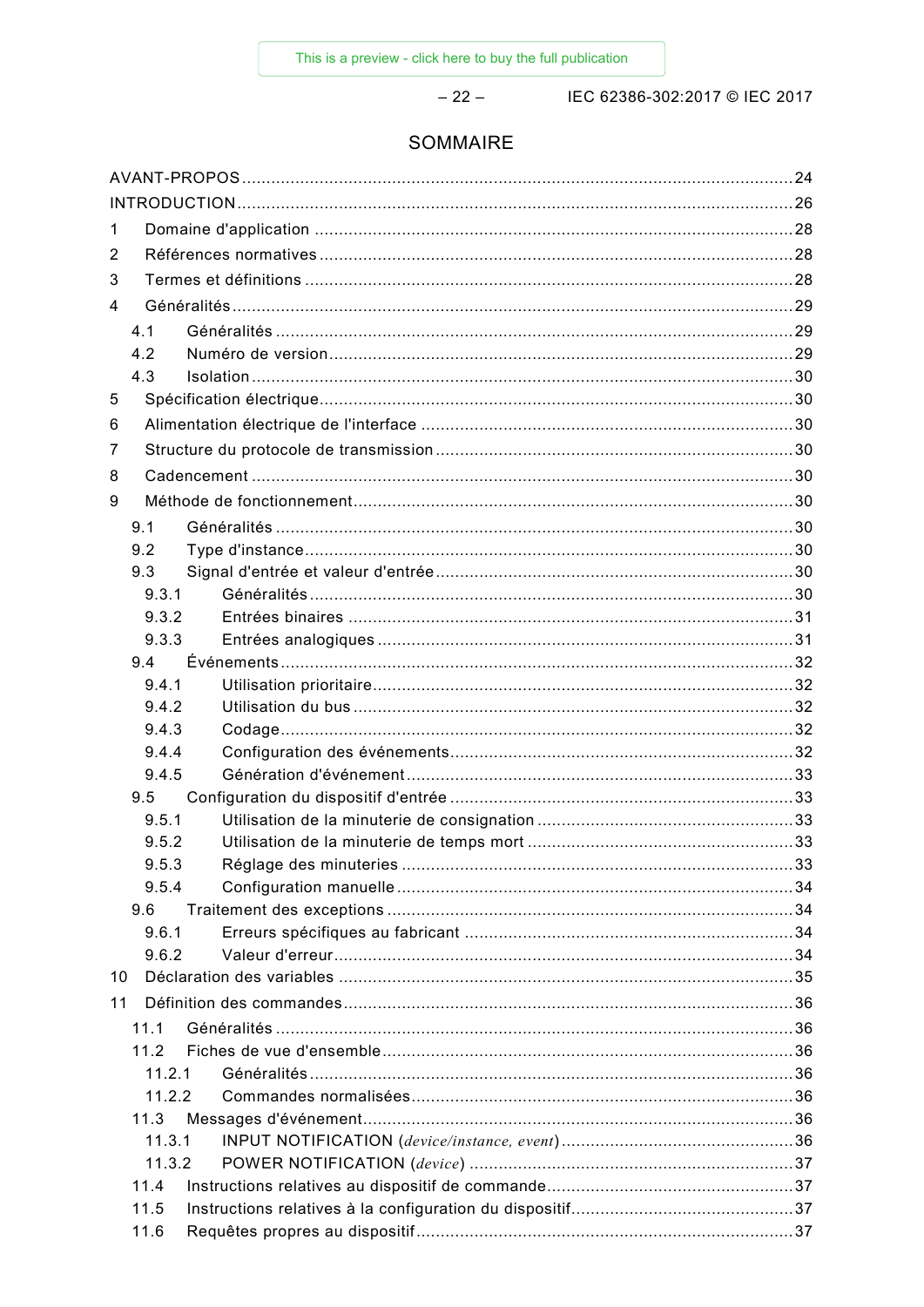$-22-$ 

IEC 62386-302:2017 © IEC 2017

# SOMMAIRE

| 1      |                 |  |
|--------|-----------------|--|
| 2      |                 |  |
| 3      |                 |  |
| 4      |                 |  |
| 4.1    |                 |  |
| 4.2    |                 |  |
| 4.3    | Isolation 10001 |  |
| 5      |                 |  |
| 6      |                 |  |
| 7      |                 |  |
|        |                 |  |
| 8      |                 |  |
| 9      |                 |  |
| 9.1    |                 |  |
| 9.2    |                 |  |
| 9.3    |                 |  |
| 9.3.1  |                 |  |
| 9.3.2  |                 |  |
| 9.3.3  |                 |  |
| 9.4    |                 |  |
| 9.4.1  |                 |  |
| 9.4.2  |                 |  |
| 9.4.3  |                 |  |
| 9.4.4  |                 |  |
| 9.4.5  |                 |  |
| 9.5    |                 |  |
| 9.5.1  |                 |  |
| 9.5.2  |                 |  |
| 9.5.3  |                 |  |
| 9.5.4  |                 |  |
| 9.6    |                 |  |
| 9.6.1  |                 |  |
| 9.6.2  |                 |  |
| 10     |                 |  |
| 11     |                 |  |
| 11.1   |                 |  |
| 11.2   |                 |  |
| 11.2.1 |                 |  |
| 11.2.2 |                 |  |
| 11.3   |                 |  |
| 11.3.1 |                 |  |
| 11.3.2 |                 |  |
| 11.4   |                 |  |
| 11.5   |                 |  |
| 11.6   |                 |  |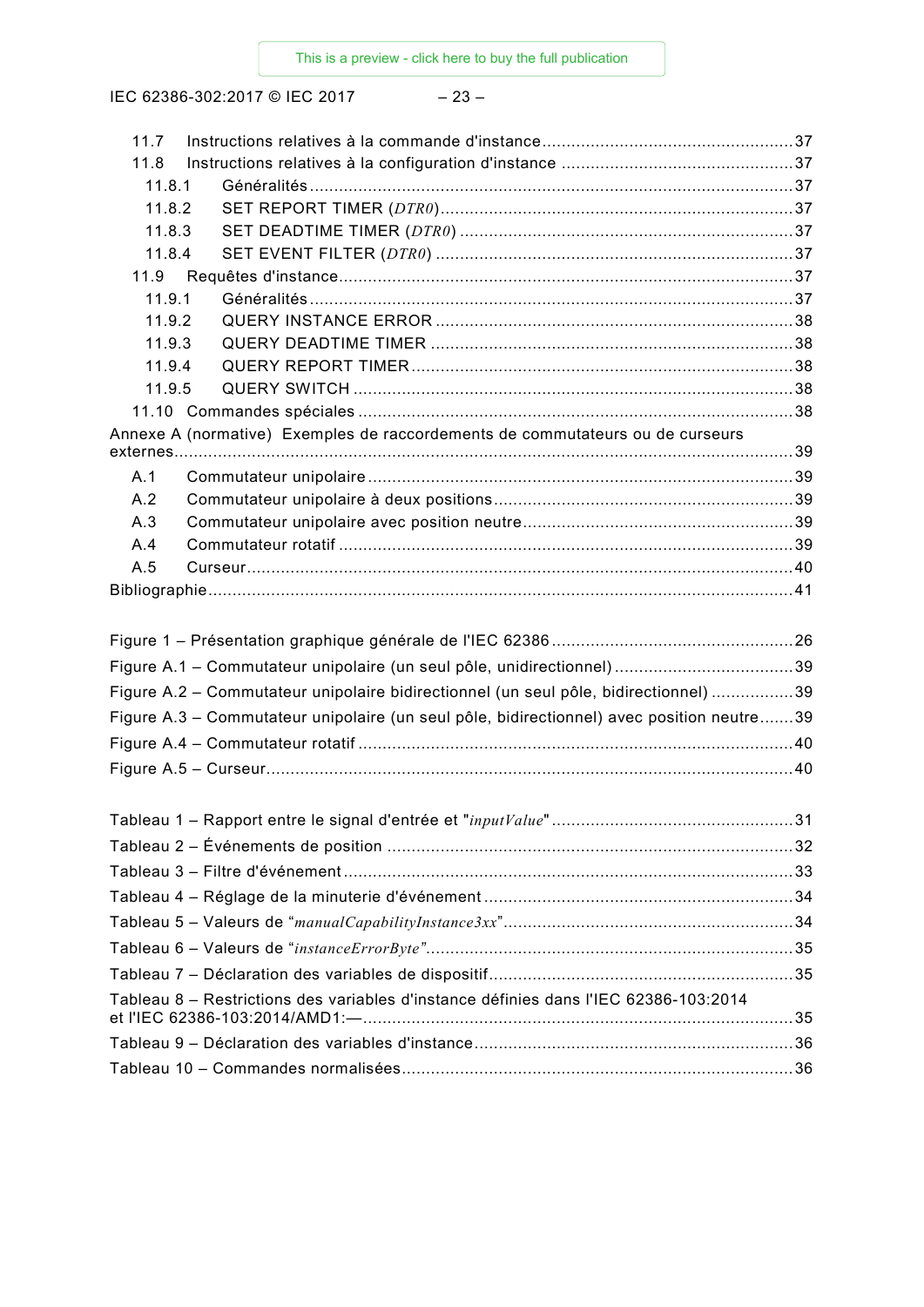IEC 62386-302:2017 © IEC 2017 - 23 -

| 11.7                                                                                      |  |
|-------------------------------------------------------------------------------------------|--|
| 11.8                                                                                      |  |
| 11.8.1                                                                                    |  |
| 11.8.2                                                                                    |  |
| 11.8.3                                                                                    |  |
| 11.8.4                                                                                    |  |
| 11.9                                                                                      |  |
| 11.9.1<br>11.9.2                                                                          |  |
| 11.9.3                                                                                    |  |
| 11.9.4                                                                                    |  |
| 11.9.5                                                                                    |  |
|                                                                                           |  |
| Annexe A (normative) Exemples de raccordements de commutateurs ou de curseurs             |  |
|                                                                                           |  |
| A.1                                                                                       |  |
| A.2                                                                                       |  |
| A.3                                                                                       |  |
| A.4                                                                                       |  |
| A.5                                                                                       |  |
|                                                                                           |  |
|                                                                                           |  |
|                                                                                           |  |
|                                                                                           |  |
| Figure A.2 - Commutateur unipolaire bidirectionnel (un seul pôle, bidirectionnel) 39      |  |
| Figure A.3 - Commutateur unipolaire (un seul pôle, bidirectionnel) avec position neutre39 |  |
|                                                                                           |  |
|                                                                                           |  |
|                                                                                           |  |
|                                                                                           |  |
|                                                                                           |  |
|                                                                                           |  |
|                                                                                           |  |
|                                                                                           |  |
|                                                                                           |  |
|                                                                                           |  |
| Tableau 8 - Restrictions des variables d'instance définies dans l'IEC 62386-103:2014      |  |
|                                                                                           |  |
|                                                                                           |  |
|                                                                                           |  |
|                                                                                           |  |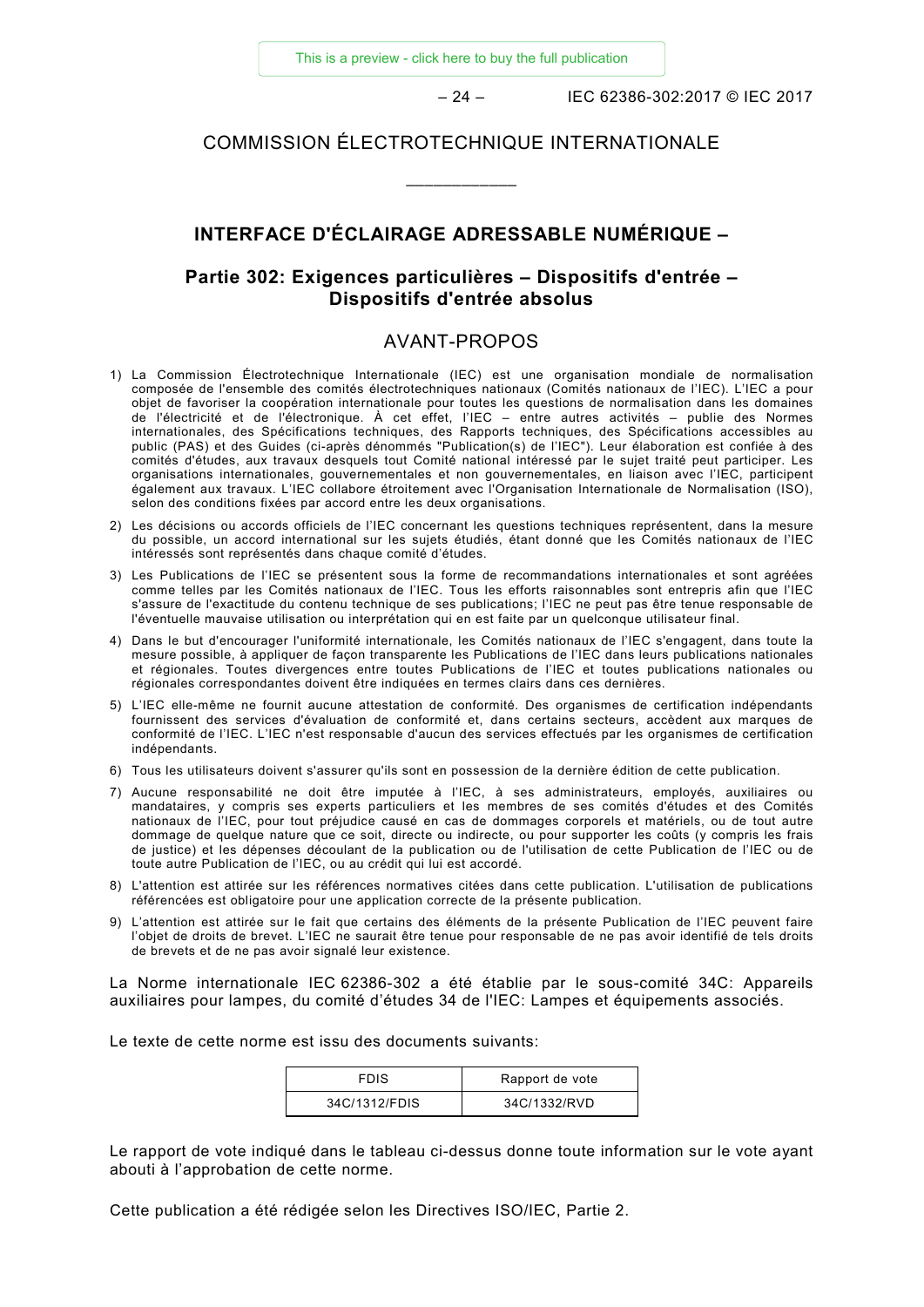[This is a preview - click here to buy the full publication](https://webstore.iec.ch/publication/26639&preview=1)

– 24 – IEC 62386-302:2017 © IEC 2017

#### COMMISSION ÉLECTROTECHNIQUE INTERNATIONALE

\_\_\_\_\_\_\_\_\_\_\_\_

# **INTERFACE D'ÉCLAIRAGE ADRESSABLE NUMÉRIQUE –**

#### **Partie 302: Exigences particulières – Dispositifs d'entrée – Dispositifs d'entrée absolus**

#### AVANT-PROPOS

- <span id="page-10-0"></span>1) La Commission Électrotechnique Internationale (IEC) est une organisation mondiale de normalisation composée de l'ensemble des comités électrotechniques nationaux (Comités nationaux de l'IEC). L'IEC a pour objet de favoriser la coopération internationale pour toutes les questions de normalisation dans les domaines de l'électricité et de l'électronique. À cet effet, l'IEC – entre autres activités – publie des Normes internationales, des Spécifications techniques, des Rapports techniques, des Spécifications accessibles au public (PAS) et des Guides (ci-après dénommés "Publication(s) de l'IEC"). Leur élaboration est confiée à des comités d'études, aux travaux desquels tout Comité national intéressé par le sujet traité peut participer. Les organisations internationales, gouvernementales et non gouvernementales, en liaison avec l'IEC, participent également aux travaux. L'IEC collabore étroitement avec l'Organisation Internationale de Normalisation (ISO), selon des conditions fixées par accord entre les deux organisations.
- 2) Les décisions ou accords officiels de l'IEC concernant les questions techniques représentent, dans la mesure du possible, un accord international sur les sujets étudiés, étant donné que les Comités nationaux de l'IEC intéressés sont représentés dans chaque comité d'études.
- 3) Les Publications de l'IEC se présentent sous la forme de recommandations internationales et sont agréées comme telles par les Comités nationaux de l'IEC. Tous les efforts raisonnables sont entrepris afin que l'IEC s'assure de l'exactitude du contenu technique de ses publications; l'IEC ne peut pas être tenue responsable de l'éventuelle mauvaise utilisation ou interprétation qui en est faite par un quelconque utilisateur final.
- 4) Dans le but d'encourager l'uniformité internationale, les Comités nationaux de l'IEC s'engagent, dans toute la mesure possible, à appliquer de façon transparente les Publications de l'IEC dans leurs publications nationales et régionales. Toutes divergences entre toutes Publications de l'IEC et toutes publications nationales ou régionales correspondantes doivent être indiquées en termes clairs dans ces dernières.
- 5) L'IEC elle-même ne fournit aucune attestation de conformité. Des organismes de certification indépendants fournissent des services d'évaluation de conformité et, dans certains secteurs, accèdent aux marques de conformité de l'IEC. L'IEC n'est responsable d'aucun des services effectués par les organismes de certification indépendants.
- 6) Tous les utilisateurs doivent s'assurer qu'ils sont en possession de la dernière édition de cette publication.
- 7) Aucune responsabilité ne doit être imputée à l'IEC, à ses administrateurs, employés, auxiliaires ou mandataires, y compris ses experts particuliers et les membres de ses comités d'études et des Comités nationaux de l'IEC, pour tout préjudice causé en cas de dommages corporels et matériels, ou de tout autre dommage de quelque nature que ce soit, directe ou indirecte, ou pour supporter les coûts (y compris les frais de justice) et les dépenses découlant de la publication ou de l'utilisation de cette Publication de l'IEC ou de toute autre Publication de l'IEC, ou au crédit qui lui est accordé.
- 8) L'attention est attirée sur les références normatives citées dans cette publication. L'utilisation de publications référencées est obligatoire pour une application correcte de la présente publication.
- 9) L'attention est attirée sur le fait que certains des éléments de la présente Publication de l'IEC peuvent faire l'objet de droits de brevet. L'IEC ne saurait être tenue pour responsable de ne pas avoir identifié de tels droits de brevets et de ne pas avoir signalé leur existence.

La Norme internationale IEC 62386-302 a été établie par le sous-comité 34C: Appareils auxiliaires pour lampes, du comité d'études 34 de l'IEC: Lampes et équipements associés.

Le texte de cette norme est issu des documents suivants:

| <b>FDIS</b>   | Rapport de vote |
|---------------|-----------------|
| 34C/1312/FDIS | 34C/1332/RVD    |

Le rapport de vote indiqué dans le tableau ci-dessus donne toute information sur le vote ayant abouti à l'approbation de cette norme.

Cette publication a été rédigée selon les Directives ISO/IEC, Partie 2.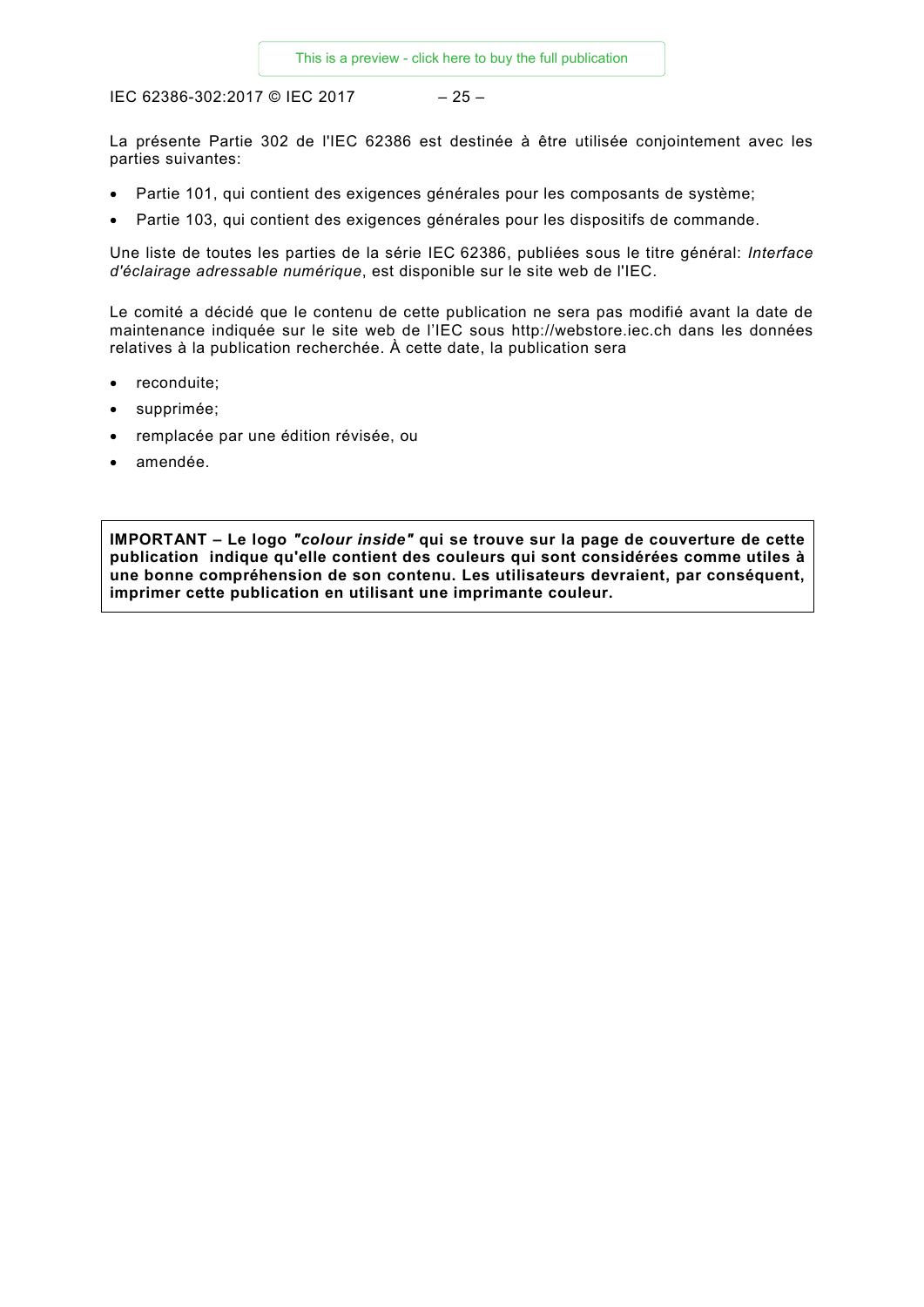IEC 62386-302:2017 © IEC 2017 – 25 –

La présente Partie 302 de l'IEC 62386 est destinée à être utilisée conjointement avec les parties suivantes:

- Partie 101, qui contient des exigences générales pour les composants de système;
- Partie 103, qui contient des exigences générales pour les dispositifs de commande.

Une liste de toutes les parties de la série IEC 62386, publiées sous le titre général: *Interface d'éclairage adressable numérique*, est disponible sur le site web de l'IEC.

Le comité a décidé que le contenu de cette publication ne sera pas modifié avant la date de maintenance indiquée sur le site web de l'IEC sous [http://webstore.iec.ch](http://webstore.iec.ch/) dans les données relatives à la publication recherchée. À cette date, la publication sera

- reconduite;
- supprimée;
- remplacée par une édition révisée, ou
- amendée.

**IMPORTANT – Le logo** *"colour inside"* **qui se trouve sur la page de couverture de cette publication indique qu'elle contient des couleurs qui sont considérées comme utiles à une bonne compréhension de son contenu. Les utilisateurs devraient, par conséquent, imprimer cette publication en utilisant une imprimante couleur.**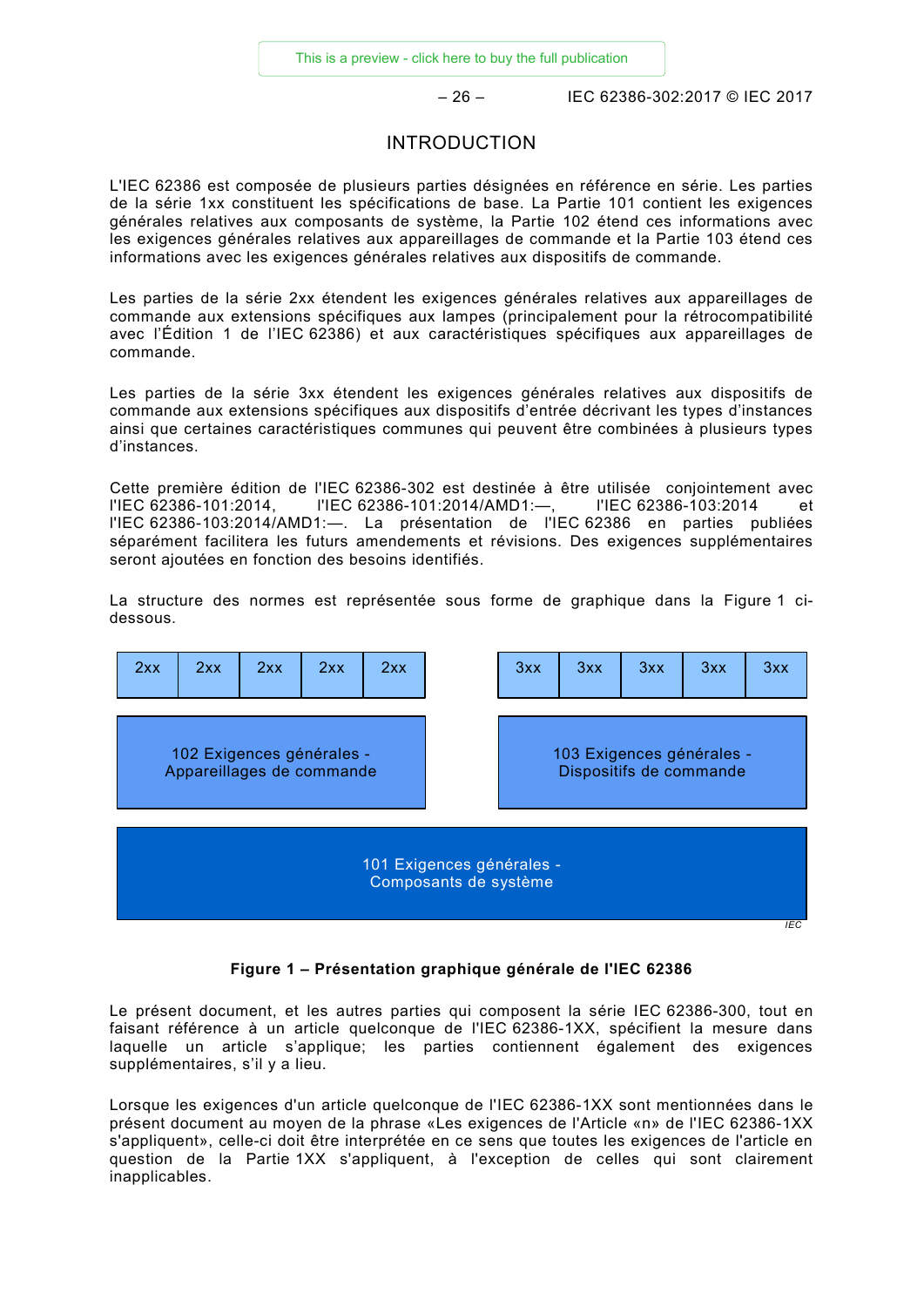– 26 – IEC 62386-302:2017 © IEC 2017

#### INTRODUCTION

<span id="page-12-0"></span>L'IEC 62386 est composée de plusieurs parties désignées en référence en série. Les parties de la série 1xx constituent les spécifications de base. La Partie 101 contient les exigences générales relatives aux composants de système, la Partie 102 étend ces informations avec les exigences générales relatives aux appareillages de commande et la Partie 103 étend ces informations avec les exigences générales relatives aux dispositifs de commande.

Les parties de la série 2xx étendent les exigences générales relatives aux appareillages de commande aux extensions spécifiques aux lampes (principalement pour la rétrocompatibilité avec l'Édition 1 de l'IEC 62386) et aux caractéristiques spécifiques aux appareillages de commande.

Les parties de la série 3xx étendent les exigences générales relatives aux dispositifs de commande aux extensions spécifiques aux dispositifs d'entrée décrivant les types d'instances ainsi que certaines caractéristiques communes qui peuvent être combinées à plusieurs types d'instances.

Cette première édition de l'IEC 62386-302 est destinée à être utilisée conjointement avec l'IEC 62386-101:2014, l'IEC 62386-101:2014/AMD1:—, l'IEC 62386-103:2014 et l'IEC 62386-103:2014/AMD1:—. La présentation de l'IEC 62386 en parties publiées séparément facilitera les futurs amendements et révisions. Des exigences supplémentaires seront ajoutées en fonction des besoins identifiés.

La structure des normes est représentée sous forme de graphique dans la [Figure 1](#page-12-1) cidessous.



**Figure 1 – Présentation graphique générale de l'IEC 62386**

<span id="page-12-1"></span>Le présent document, et les autres parties qui composent la série IEC 62386-300, tout en faisant référence à un article quelconque de l'IEC 62386-1XX, spécifient la mesure dans laquelle un article s'applique; les parties contiennent également des exigences supplémentaires, s'il y a lieu.

Lorsque les exigences d'un article quelconque de l'IEC 62386-1XX sont mentionnées dans le présent document au moyen de la phrase «Les exigences de l'Article «n» de l'IEC 62386-1XX s'appliquent», celle-ci doit être interprétée en ce sens que toutes les exigences de l'article en question de la Partie 1XX s'appliquent, à l'exception de celles qui sont clairement inapplicables.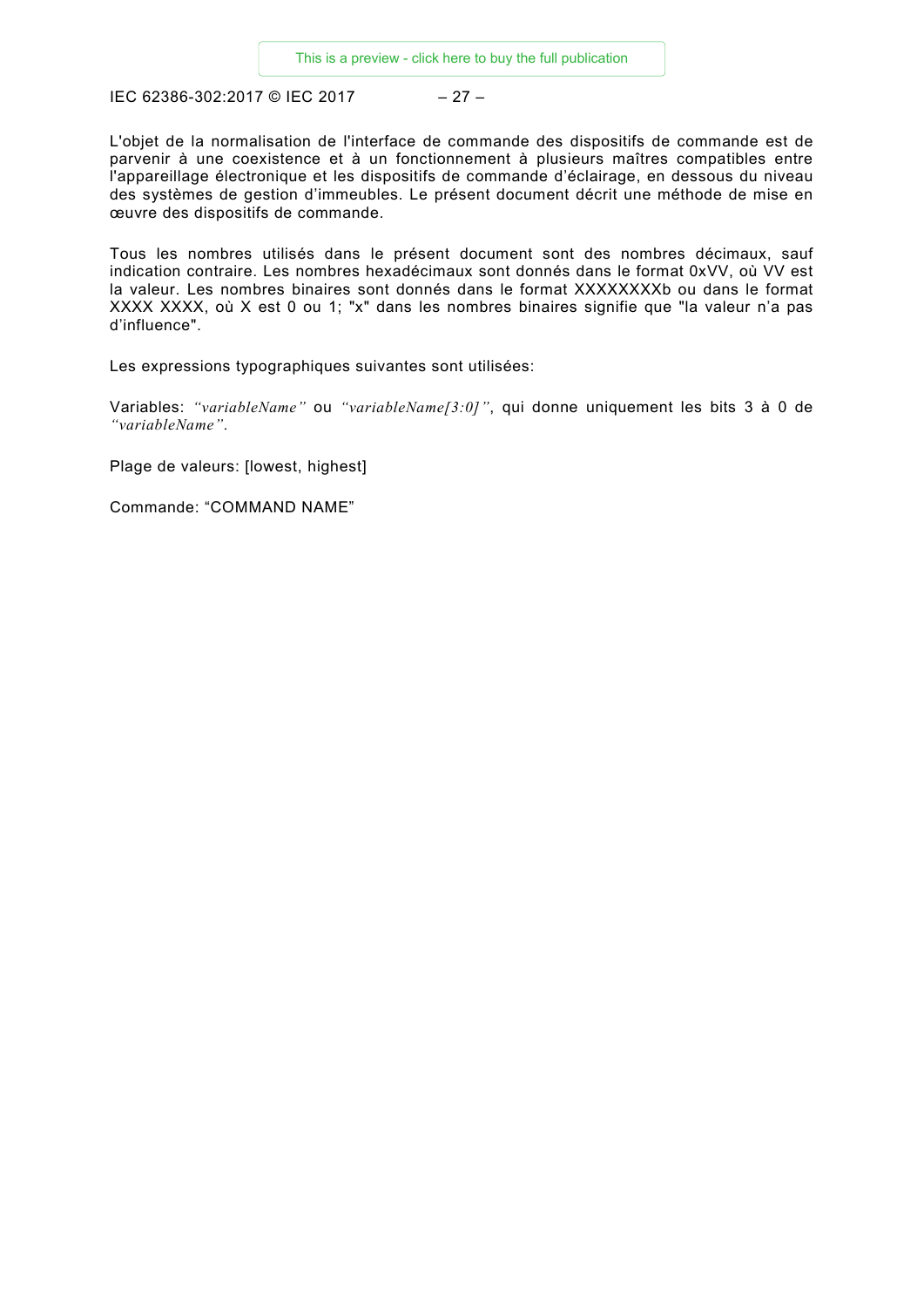IEC 62386-302:2017 © IEC 2017

$$
-27 -
$$

L'objet de la normalisation de l'interface de commande des dispositifs de commande est de parvenir à une coexistence et à un fonctionnement à plusieurs maîtres compatibles entre l'appareillage électronique et les dispositifs de commande d'éclairage, en dessous du niveau des systèmes de gestion d'immeubles. Le présent document décrit une méthode de mise en œuvre des dispositifs de commande.

Tous les nombres utilisés dans le présent document sont des nombres décimaux, sauf indication contraire. Les nombres hexadécimaux sont donnés dans le format 0xVV, où VV est la valeur. Les nombres binaires sont donnés dans le format XXXXXXXXb ou dans le format XXXX XXXX, où X est 0 ou 1; "x" dans les nombres binaires signifie que "la valeur n'a pas d'influence".

Les expressions typographiques suivantes sont utilisées:

Variables: *"variableName"* ou *"variableName[3:0]"*, qui donne uniquement les bits 3 à 0 de *"variableName"*.

Plage de valeurs: [lowest, highest]

Commande: "COMMAND NAME"